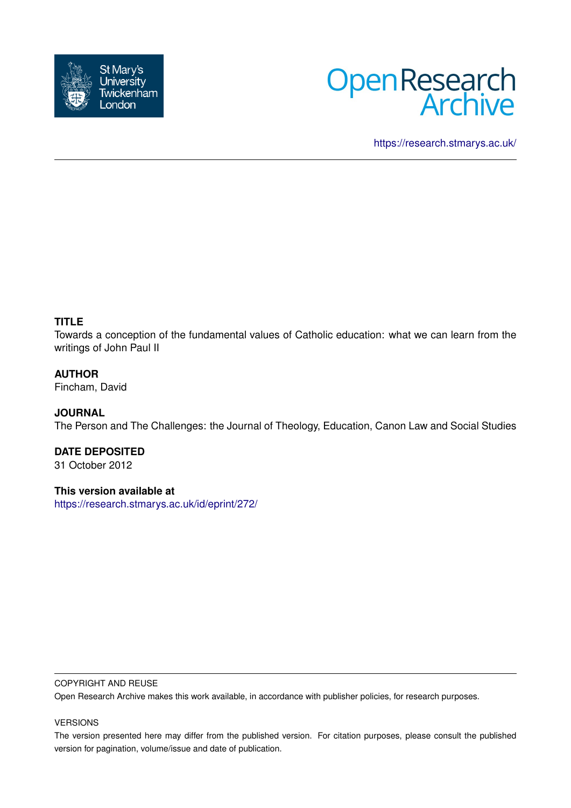



<https://research.stmarys.ac.uk/>

# **TITLE**

Towards a conception of the fundamental values of Catholic education: what we can learn from the writings of John Paul II

#### **AUTHOR**

Fincham, David

#### **JOURNAL**

The Person and The Challenges: the Journal of Theology, Education, Canon Law and Social Studies

# **DATE DEPOSITED**

31 October 2012

#### **This version available at**

<https://research.stmarys.ac.uk/id/eprint/272/>

#### COPYRIGHT AND REUSE

Open Research Archive makes this work available, in accordance with publisher policies, for research purposes.

#### VERSIONS

The version presented here may differ from the published version. For citation purposes, please consult the published version for pagination, volume/issue and date of publication.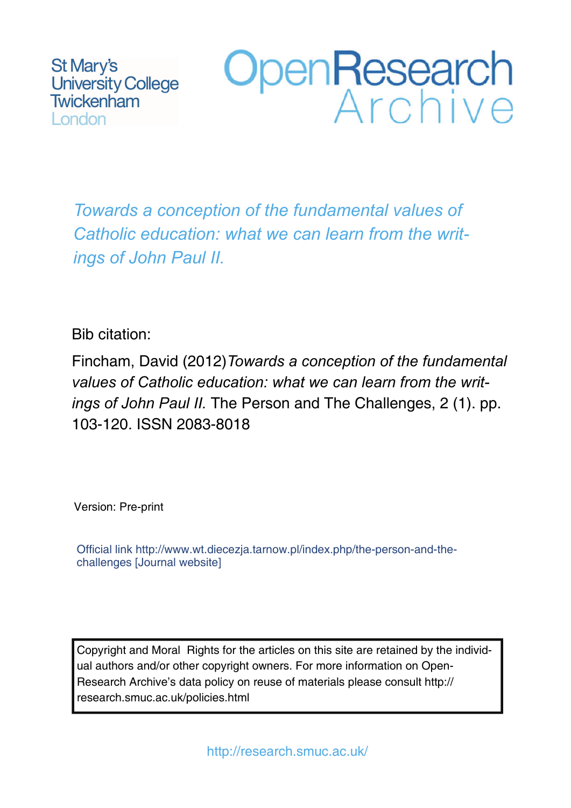St Mary's **University College** Twickenham **London** 



*Towards a conception of the fundamental values of Catholic education: what we can learn from the writings of John Paul II.*

# Bib citation:

Fincham, David (2012)*Towards a conception of the fundamental values of Catholic education: what we can learn from the writings of John Paul II.* The Person and The Challenges, 2 (1). pp. 103-120. ISSN 2083-8018

Version: Pre-print

Official link http://www.wt.diecezja.tarnow.pl/index.php/the-person-and-thechallenges [Journal website]

Copyright and Moral Rights for the articles on this site are retained by the individual authors and/or other copyright owners. For more information on Open-Research Archive's data policy on reuse of materials please consult http:// research.smuc.ac.uk/policies.html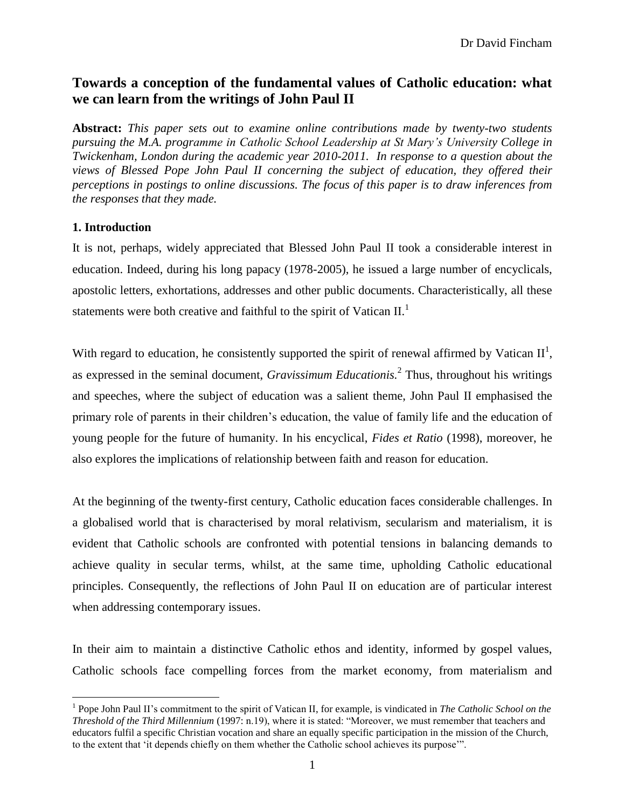# **Towards a conception of the fundamental values of Catholic education: what we can learn from the writings of John Paul II**

**Abstract:** *This paper sets out to examine online contributions made by twenty-two students pursuing the M.A. programme in Catholic School Leadership at St Mary's University College in Twickenham, London during the academic year 2010-2011. In response to a question about the views of Blessed Pope John Paul II concerning the subject of education, they offered their perceptions in postings to online discussions. The focus of this paper is to draw inferences from the responses that they made.*

## **1. Introduction**

 $\overline{a}$ 

It is not, perhaps, widely appreciated that Blessed John Paul II took a considerable interest in education. Indeed, during his long papacy (1978-2005), he issued a large number of encyclicals, apostolic letters, exhortations, addresses and other public documents. Characteristically, all these statements were both creative and faithful to the spirit of Vatican  $II$ .

With regard to education, he consistently supported the spirit of renewal affirmed by Vatican  $II^1$ , as expressed in the seminal document, *Gravissimum Educationis.* 2 Thus, throughout his writings and speeches, where the subject of education was a salient theme, John Paul II emphasised the primary role of parents in their children's education, the value of family life and the education of young people for the future of humanity. In his encyclical, *Fides et Ratio* (1998), moreover, he also explores the implications of relationship between faith and reason for education.

At the beginning of the twenty-first century, Catholic education faces considerable challenges. In a globalised world that is characterised by moral relativism, secularism and materialism, it is evident that Catholic schools are confronted with potential tensions in balancing demands to achieve quality in secular terms, whilst, at the same time, upholding Catholic educational principles. Consequently, the reflections of John Paul II on education are of particular interest when addressing contemporary issues.

In their aim to maintain a distinctive Catholic ethos and identity, informed by gospel values, Catholic schools face compelling forces from the market economy, from materialism and

<sup>&</sup>lt;sup>1</sup> Pope John Paul II's commitment to the spirit of Vatican II, for example, is vindicated in *The Catholic School on the Threshold of the Third Millennium* (1997: n.19), where it is stated: "Moreover, we must remember that teachers and educators fulfil a specific Christian vocation and share an equally specific participation in the mission of the Church, to the extent that 'it depends chiefly on them whether the Catholic school achieves its purpose'".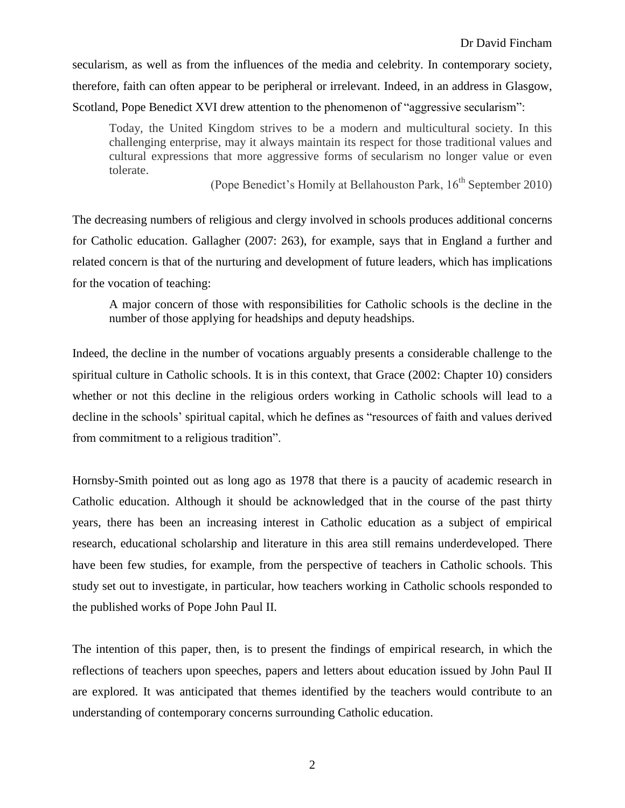secularism, as well as from the influences of the media and celebrity. In contemporary society, therefore, faith can often appear to be peripheral or irrelevant. Indeed, in an address in Glasgow, Scotland, Pope Benedict XVI drew attention to the phenomenon of "aggressive secularism":

Today, the United Kingdom strives to be a modern and multicultural society. In this challenging enterprise, may it always maintain its respect for those traditional values and cultural expressions that more aggressive forms of secularism no longer value or even tolerate.

(Pope Benedict's Homily at Bellahouston Park,  $16<sup>th</sup>$  September 2010)

The decreasing numbers of religious and clergy involved in schools produces additional concerns for Catholic education. Gallagher (2007: 263), for example, says that in England a further and related concern is that of the nurturing and development of future leaders, which has implications for the vocation of teaching:

A major concern of those with responsibilities for Catholic schools is the decline in the number of those applying for headships and deputy headships.

Indeed, the decline in the number of vocations arguably presents a considerable challenge to the spiritual culture in Catholic schools. It is in this context, that Grace (2002: Chapter 10) considers whether or not this decline in the religious orders working in Catholic schools will lead to a decline in the schools' spiritual capital, which he defines as "resources of faith and values derived from commitment to a religious tradition".

Hornsby-Smith pointed out as long ago as 1978 that there is a paucity of academic research in Catholic education. Although it should be acknowledged that in the course of the past thirty years, there has been an increasing interest in Catholic education as a subject of empirical research, educational scholarship and literature in this area still remains underdeveloped. There have been few studies, for example, from the perspective of teachers in Catholic schools. This study set out to investigate, in particular, how teachers working in Catholic schools responded to the published works of Pope John Paul II.

The intention of this paper, then, is to present the findings of empirical research, in which the reflections of teachers upon speeches, papers and letters about education issued by John Paul II are explored. It was anticipated that themes identified by the teachers would contribute to an understanding of contemporary concerns surrounding Catholic education.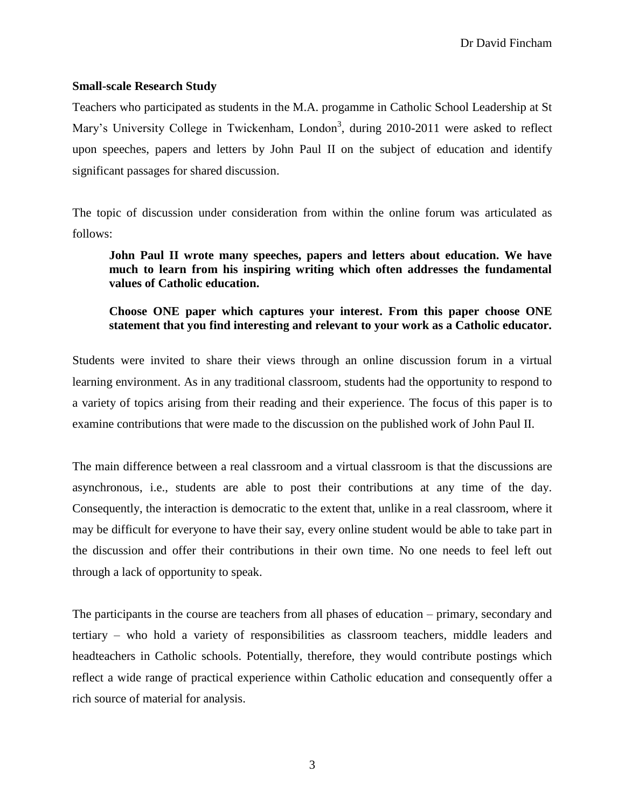Dr David Fincham

#### **Small-scale Research Study**

Teachers who participated as students in the M.A. progamme in Catholic School Leadership at St Mary's University College in Twickenham, London<sup>3</sup>, during 2010-2011 were asked to reflect upon speeches, papers and letters by John Paul II on the subject of education and identify significant passages for shared discussion.

The topic of discussion under consideration from within the online forum was articulated as follows:

**John Paul II wrote many speeches, papers and letters about education. We have much to learn from his inspiring writing which often addresses the fundamental values of Catholic education.**

# **Choose ONE paper which captures your interest. From this paper choose ONE statement that you find interesting and relevant to your work as a Catholic educator.**

Students were invited to share their views through an online discussion forum in a virtual learning environment. As in any traditional classroom, students had the opportunity to respond to a variety of topics arising from their reading and their experience. The focus of this paper is to examine contributions that were made to the discussion on the published work of John Paul II.

The main difference between a real classroom and a virtual classroom is that the discussions are asynchronous, i.e., students are able to post their contributions at any time of the day. Consequently, the interaction is democratic to the extent that, unlike in a real classroom, where it may be difficult for everyone to have their say, every online student would be able to take part in the discussion and offer their contributions in their own time. No one needs to feel left out through a lack of opportunity to speak.

The participants in the course are teachers from all phases of education – primary, secondary and tertiary – who hold a variety of responsibilities as classroom teachers, middle leaders and headteachers in Catholic schools. Potentially, therefore, they would contribute postings which reflect a wide range of practical experience within Catholic education and consequently offer a rich source of material for analysis.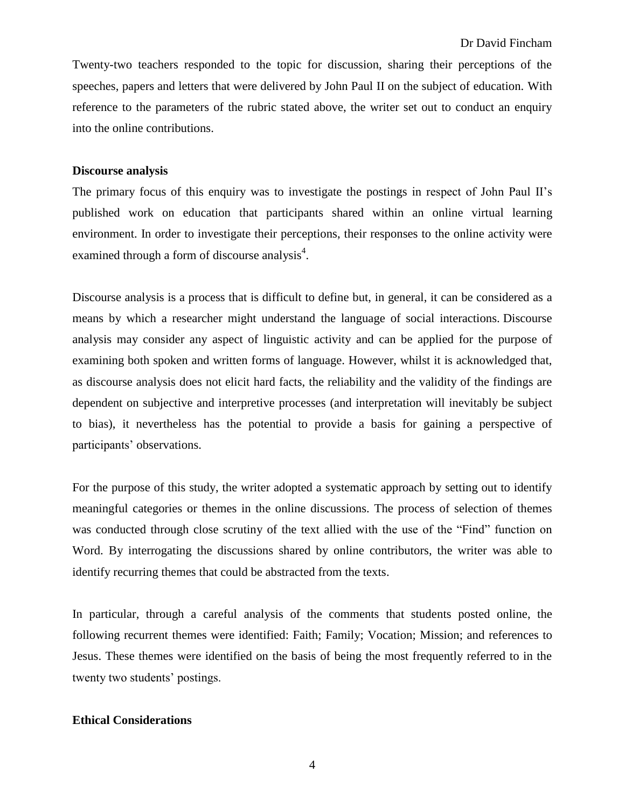Twenty-two teachers responded to the topic for discussion, sharing their perceptions of the speeches, papers and letters that were delivered by John Paul II on the subject of education. With reference to the parameters of the rubric stated above, the writer set out to conduct an enquiry into the online contributions.

#### **Discourse analysis**

The primary focus of this enquiry was to investigate the postings in respect of John Paul II's published work on education that participants shared within an online virtual learning environment. In order to investigate their perceptions, their responses to the online activity were examined through a form of discourse analysis<sup>4</sup>.

Discourse analysis is a process that is difficult to define but, in general, it can be considered as a means by which a researcher might understand the language of social interactions. Discourse analysis may consider any aspect of linguistic activity and can be applied for the purpose of examining both spoken and written forms of language. However, whilst it is acknowledged that, as discourse analysis does not elicit hard facts, the reliability and the validity of the findings are dependent on subjective and interpretive processes (and interpretation will inevitably be subject to bias), it nevertheless has the potential to provide a basis for gaining a perspective of participants' observations.

For the purpose of this study, the writer adopted a systematic approach by setting out to identify meaningful categories or themes in the online discussions. The process of selection of themes was conducted through close scrutiny of the text allied with the use of the "Find" function on Word. By interrogating the discussions shared by online contributors, the writer was able to identify recurring themes that could be abstracted from the texts.

In particular, through a careful analysis of the comments that students posted online, the following recurrent themes were identified: Faith; Family; Vocation; Mission; and references to Jesus. These themes were identified on the basis of being the most frequently referred to in the twenty two students' postings.

#### **Ethical Considerations**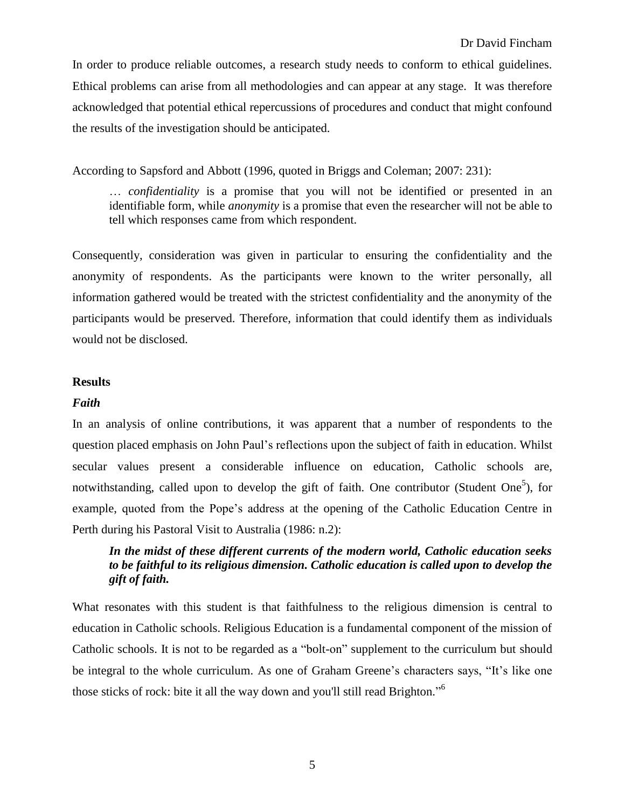In order to produce reliable outcomes, a research study needs to conform to ethical guidelines. Ethical problems can arise from all methodologies and can appear at any stage. It was therefore acknowledged that potential ethical repercussions of procedures and conduct that might confound the results of the investigation should be anticipated.

According to Sapsford and Abbott (1996, quoted in Briggs and Coleman; 2007: 231):

… *confidentiality* is a promise that you will not be identified or presented in an identifiable form, while *anonymity* is a promise that even the researcher will not be able to tell which responses came from which respondent.

Consequently, consideration was given in particular to ensuring the confidentiality and the anonymity of respondents. As the participants were known to the writer personally, all information gathered would be treated with the strictest confidentiality and the anonymity of the participants would be preserved. Therefore, information that could identify them as individuals would not be disclosed.

#### **Results**

#### *Faith*

In an analysis of online contributions, it was apparent that a number of respondents to the question placed emphasis on John Paul's reflections upon the subject of faith in education. Whilst secular values present a considerable influence on education, Catholic schools are, notwithstanding, called upon to develop the gift of faith. One contributor (Student One<sup>5</sup>), for example, quoted from the Pope's address at the opening of the Catholic Education Centre in Perth during his Pastoral Visit to Australia (1986: n.2):

# *In the midst of these different currents of the modern world, Catholic education seeks to be faithful to its religious dimension. Catholic education is called upon to develop the gift of faith.*

What resonates with this student is that faithfulness to the religious dimension is central to education in Catholic schools. Religious Education is a fundamental component of the mission of Catholic schools. It is not to be regarded as a "bolt-on" supplement to the curriculum but should be integral to the whole curriculum. As one of Graham Greene's characters says, "It's like one those sticks of rock: bite it all the way down and you'll still read Brighton."<sup>6</sup>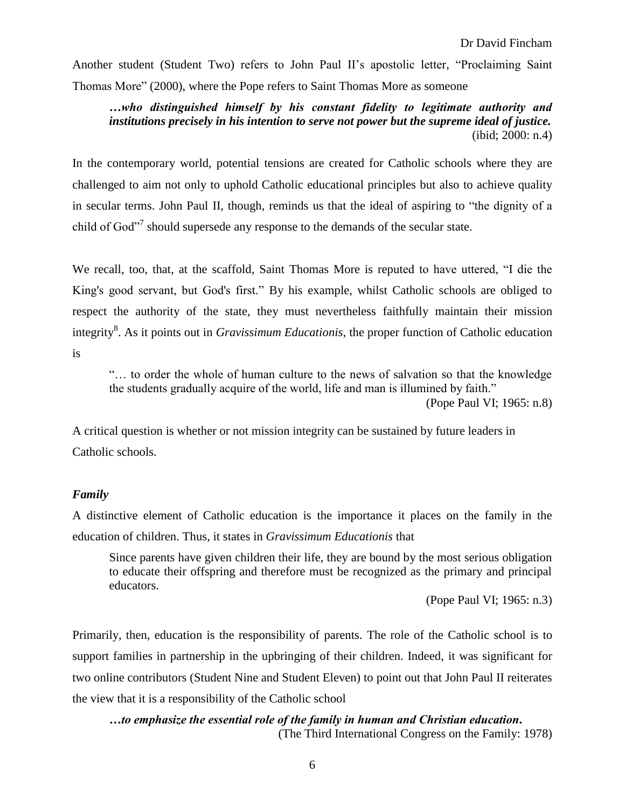Another student (Student Two) refers to John Paul II's apostolic letter, "Proclaiming Saint Thomas More" (2000), where the Pope refers to Saint Thomas More as someone

*…who distinguished himself by his constant fidelity to legitimate authority and institutions precisely in his intention to serve not power but the supreme ideal of justice.* (ibid; 2000: n.4)

In the contemporary world, potential tensions are created for Catholic schools where they are challenged to aim not only to uphold Catholic educational principles but also to achieve quality in secular terms. John Paul II, though, reminds us that the ideal of aspiring to "the dignity of a child of God"<sup>7</sup> should supersede any response to the demands of the secular state.

We recall, too, that, at the scaffold, Saint Thomas More is reputed to have uttered, "I die the King's good servant, but God's first." By his example, whilst Catholic schools are obliged to respect the authority of the state, they must nevertheless faithfully maintain their mission integrity<sup>8</sup>. As it points out in *Gravissimum Educationis*, the proper function of Catholic education is

"… to order the whole of human culture to the news of salvation so that the knowledge the students gradually acquire of the world, life and man is illumined by faith."

(Pope Paul VI; 1965: n.8)

A critical question is whether or not mission integrity can be sustained by future leaders in Catholic schools.

# *Family*

A distinctive element of Catholic education is the importance it places on the family in the education of children. Thus, it states in *Gravissimum Educationis* that

Since parents have given children their life, they are bound by the most serious obligation to educate their offspring and therefore must be recognized as the primary and principal educators.

(Pope Paul VI; 1965: n.3)

Primarily, then, education is the responsibility of parents. The role of the Catholic school is to support families in partnership in the upbringing of their children. Indeed, it was significant for two online contributors (Student Nine and Student Eleven) to point out that John Paul II reiterates the view that it is a responsibility of the Catholic school

*…to emphasize the essential role of the family in human and Christian education.*

(The Third International Congress on the Family: 1978)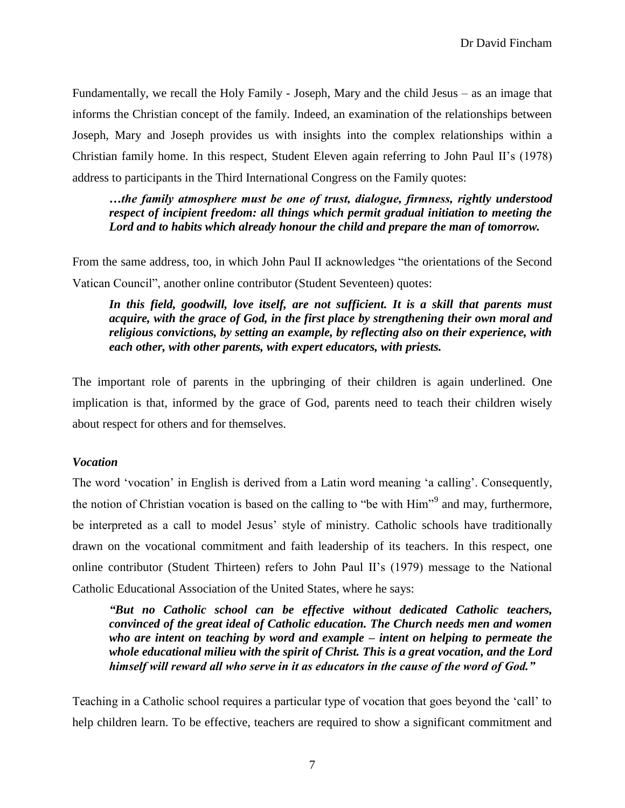Fundamentally, we recall the Holy Family - Joseph, Mary and the child Jesus – as an image that informs the Christian concept of the family. Indeed, an examination of the relationships between Joseph, Mary and Joseph provides us with insights into the complex relationships within a Christian family home. In this respect, Student Eleven again referring to John Paul II's (1978) address to participants in the Third International Congress on the Family quotes:

*…the family atmosphere must be one of trust, dialogue, firmness, rightly understood respect of incipient freedom: all things which permit gradual initiation to meeting the Lord and to habits which already honour the child and prepare the man of tomorrow.*

From the same address, too, in which John Paul II acknowledges "the orientations of the Second Vatican Council", another online contributor (Student Seventeen) quotes:

In this field, goodwill, love itself, are not sufficient. It is a skill that parents must *acquire, with the grace of God, in the first place by strengthening their own moral and religious convictions, by setting an example, by reflecting also on their experience, with each other, with other parents, with expert educators, with priests.*

The important role of parents in the upbringing of their children is again underlined. One implication is that, informed by the grace of God, parents need to teach their children wisely about respect for others and for themselves.

#### *Vocation*

The word 'vocation' in English is derived from a Latin word meaning 'a calling'. Consequently, the notion of Christian vocation is based on the calling to "be with Him"<sup>9</sup> and may, furthermore, be interpreted as a call to model Jesus' style of ministry. Catholic schools have traditionally drawn on the vocational commitment and faith leadership of its teachers. In this respect, one online contributor (Student Thirteen) refers to John Paul II's (1979) message to the National Catholic Educational Association of the United States, where he says:

*"But no Catholic school can be effective without dedicated Catholic teachers, convinced of the great ideal of Catholic education. The Church needs men and women who are intent on teaching by word and example – intent on helping to permeate the whole educational milieu with the spirit of Christ. This is a great vocation, and the Lord himself will reward all who serve in it as educators in the cause of the word of God."*

Teaching in a Catholic school requires a particular type of vocation that goes beyond the 'call' to help children learn. To be effective, teachers are required to show a significant commitment and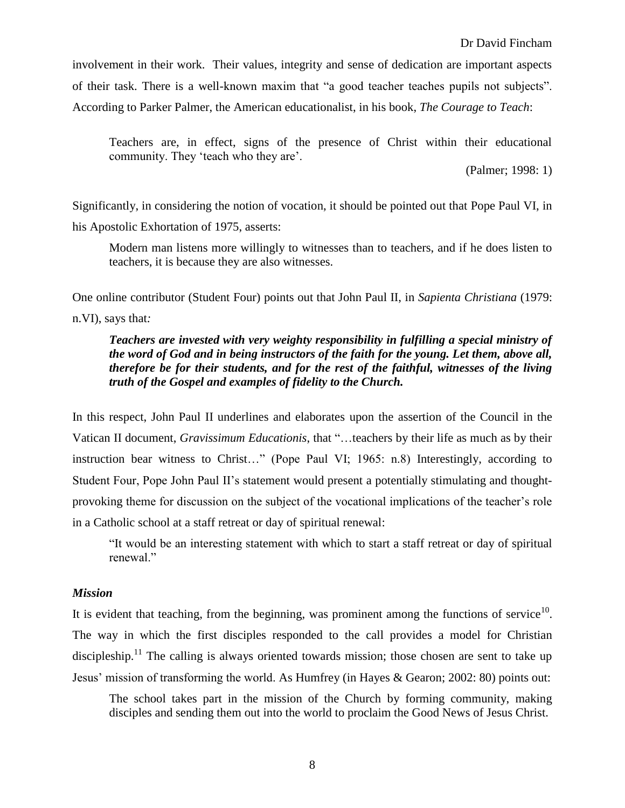involvement in their work. Their values, integrity and sense of dedication are important aspects of their task. There is a well-known maxim that "a good teacher teaches pupils not subjects". According to Parker Palmer, the American educationalist, in his book, *The Courage to Teach*:

Teachers are, in effect, signs of the presence of Christ within their educational community. They 'teach who they are'.

(Palmer; 1998: 1)

Significantly, in considering the notion of vocation, it should be pointed out that Pope Paul VI, in his Apostolic Exhortation of 1975, asserts:

Modern man listens more willingly to witnesses than to teachers, and if he does listen to teachers, it is because they are also witnesses.

One online contributor (Student Four) points out that John Paul II, in *Sapienta Christiana* (1979: n.VI), says that*:*

## *Teachers are invested with very weighty responsibility in fulfilling a special ministry of the word of God and in being instructors of the faith for the young. Let them, above all, therefore be for their students, and for the rest of the faithful, witnesses of the living truth of the Gospel and examples of fidelity to the Church.*

In this respect, John Paul II underlines and elaborates upon the assertion of the Council in the Vatican II document, *Gravissimum Educationis*, that "…teachers by their life as much as by their instruction bear witness to Christ…" (Pope Paul VI; 1965: n.8) Interestingly, according to Student Four, Pope John Paul II's statement would present a potentially stimulating and thoughtprovoking theme for discussion on the subject of the vocational implications of the teacher's role in a Catholic school at a staff retreat or day of spiritual renewal:

"It would be an interesting statement with which to start a staff retreat or day of spiritual renewal."

#### *Mission*

It is evident that teaching, from the beginning, was prominent among the functions of service $10$ . The way in which the first disciples responded to the call provides a model for Christian discipleship.<sup>11</sup> The calling is always oriented towards mission; those chosen are sent to take up Jesus' mission of transforming the world. As Humfrey (in Hayes & Gearon; 2002: 80) points out:

The school takes part in the mission of the Church by forming community, making disciples and sending them out into the world to proclaim the Good News of Jesus Christ.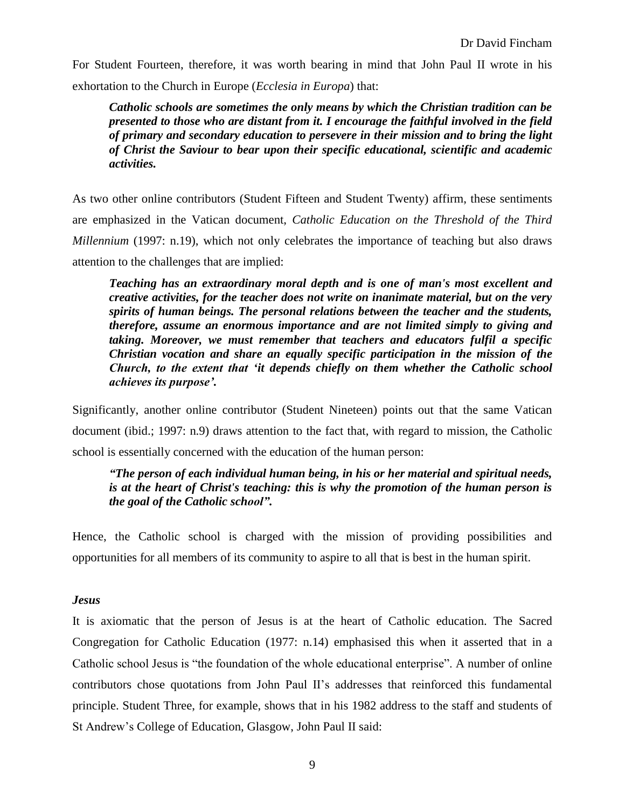For Student Fourteen, therefore, it was worth bearing in mind that John Paul II wrote in his exhortation to the Church in Europe (*Ecclesia in Europa*) that:

*Catholic schools are sometimes the only means by which the Christian tradition can be presented to those who are distant from it. I encourage the faithful involved in the field of primary and secondary education to persevere in their mission and to bring the light of Christ the Saviour to bear upon their specific educational, scientific and academic activities.*

As two other online contributors (Student Fifteen and Student Twenty) affirm, these sentiments are emphasized in the Vatican document, *Catholic Education on the Threshold of the Third Millennium* (1997: n.19), which not only celebrates the importance of teaching but also draws attention to the challenges that are implied:

*Teaching has an extraordinary moral depth and is one of man's most excellent and creative activities, for the teacher does not write on inanimate material, but on the very spirits of human beings. The personal relations between the teacher and the students, therefore, assume an enormous importance and are not limited simply to giving and taking. Moreover, we must remember that teachers and educators fulfil a specific Christian vocation and share an equally specific participation in the mission of the Church, to the extent that 'it depends chiefly on them whether the Catholic school achieves its purpose'.*

Significantly, another online contributor (Student Nineteen) points out that the same Vatican document (ibid.; 1997: n.9) draws attention to the fact that, with regard to mission, the Catholic school is essentially concerned with the education of the human person:

# *"The person of each individual human being, in his or her material and spiritual needs, is at the heart of Christ's teaching: this is why the promotion of the human person is the goal of the Catholic school".*

Hence, the Catholic school is charged with the mission of providing possibilities and opportunities for all members of its community to aspire to all that is best in the human spirit.

# *Jesus*

It is axiomatic that the person of Jesus is at the heart of Catholic education. The Sacred Congregation for Catholic Education (1977: n.14) emphasised this when it asserted that in a Catholic school Jesus is "the foundation of the whole educational enterprise". A number of online contributors chose quotations from John Paul II's addresses that reinforced this fundamental principle. Student Three, for example, shows that in his 1982 address to the staff and students of St Andrew's College of Education, Glasgow, John Paul II said: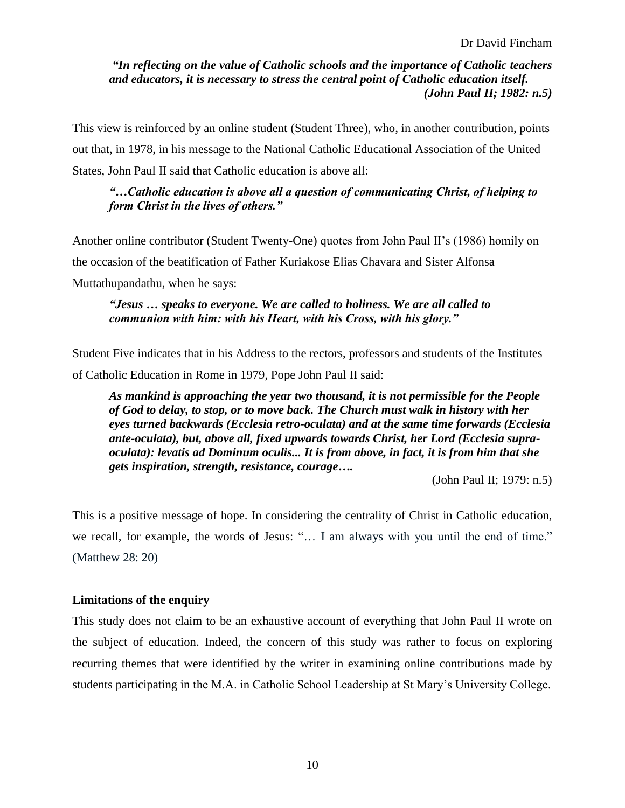*"In reflecting on the value of Catholic schools and the importance of Catholic teachers and educators, it is necessary to stress the central point of Catholic education itself. (John Paul II; 1982: n.5)*

This view is reinforced by an online student (Student Three), who, in another contribution, points out that, in 1978, in his message to the National Catholic Educational Association of the United States, John Paul II said that Catholic education is above all:

## *"…Catholic education is above all a question of communicating Christ, of helping to form Christ in the lives of others."*

Another online contributor (Student Twenty-One) quotes from John Paul II's (1986) homily on the occasion of the beatification of Father Kuriakose Elias Chavara and Sister Alfonsa Muttathupandathu, when he says:

## *"Jesus … speaks to everyone. We are called to holiness. We are all called to communion with him: with his Heart, with his Cross, with his glory."*

Student Five indicates that in his Address to the rectors, professors and students of the Institutes of Catholic Education in Rome in 1979, Pope John Paul II said:

*As mankind is approaching the year two thousand, it is not permissible for the People of God to delay, to stop, or to move back. The Church must walk in history with her eyes turned backwards (Ecclesia retro-oculata) and at the same time forwards (Ecclesia ante-oculata), but, above all, fixed upwards towards Christ, her Lord (Ecclesia supraoculata): levatis ad Dominum oculis... It is from above, in fact, it is from him that she gets inspiration, strength, resistance, courage….*

(John Paul II; 1979: n.5)

This is a positive message of hope. In considering the centrality of Christ in Catholic education, we recall, for example, the words of Jesus: "… I am always with you until the end of time." (Matthew 28: 20)

# **Limitations of the enquiry**

This study does not claim to be an exhaustive account of everything that John Paul II wrote on the subject of education. Indeed, the concern of this study was rather to focus on exploring recurring themes that were identified by the writer in examining online contributions made by students participating in the M.A. in Catholic School Leadership at St Mary's University College.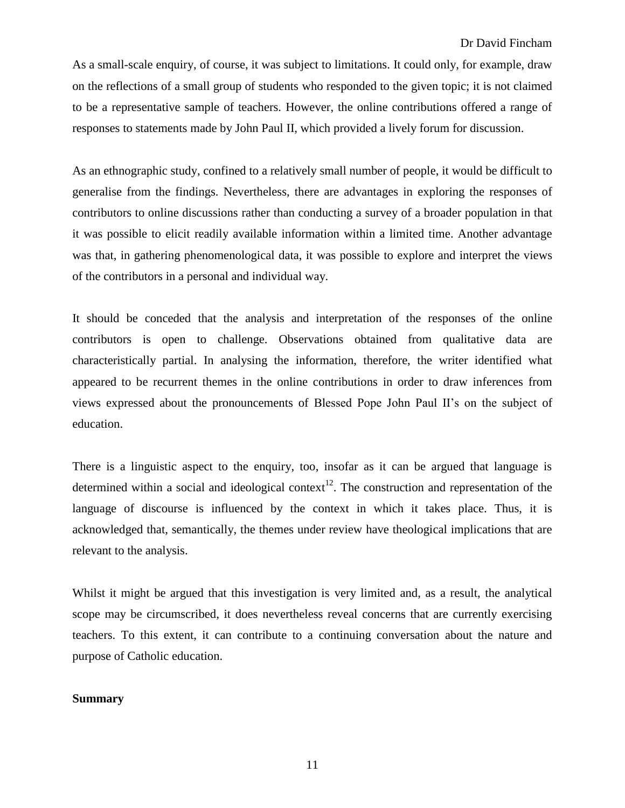As a small-scale enquiry, of course, it was subject to limitations. It could only, for example, draw on the reflections of a small group of students who responded to the given topic; it is not claimed to be a representative sample of teachers. However, the online contributions offered a range of responses to statements made by John Paul II, which provided a lively forum for discussion.

As an ethnographic study, confined to a relatively small number of people, it would be difficult to generalise from the findings. Nevertheless, there are advantages in exploring the responses of contributors to online discussions rather than conducting a survey of a broader population in that it was possible to elicit readily available information within a limited time. Another advantage was that, in gathering phenomenological data, it was possible to explore and interpret the views of the contributors in a personal and individual way.

It should be conceded that the analysis and interpretation of the responses of the online contributors is open to challenge. Observations obtained from qualitative data are characteristically partial. In analysing the information, therefore, the writer identified what appeared to be recurrent themes in the online contributions in order to draw inferences from views expressed about the pronouncements of Blessed Pope John Paul II's on the subject of education.

There is a linguistic aspect to the enquiry, too, insofar as it can be argued that language is determined within a social and ideological context<sup>12</sup>. The construction and representation of the language of discourse is influenced by the context in which it takes place. Thus, it is acknowledged that, semantically, the themes under review have theological implications that are relevant to the analysis.

Whilst it might be argued that this investigation is very limited and, as a result, the analytical scope may be circumscribed, it does nevertheless reveal concerns that are currently exercising teachers. To this extent, it can contribute to a continuing conversation about the nature and purpose of Catholic education.

#### **Summary**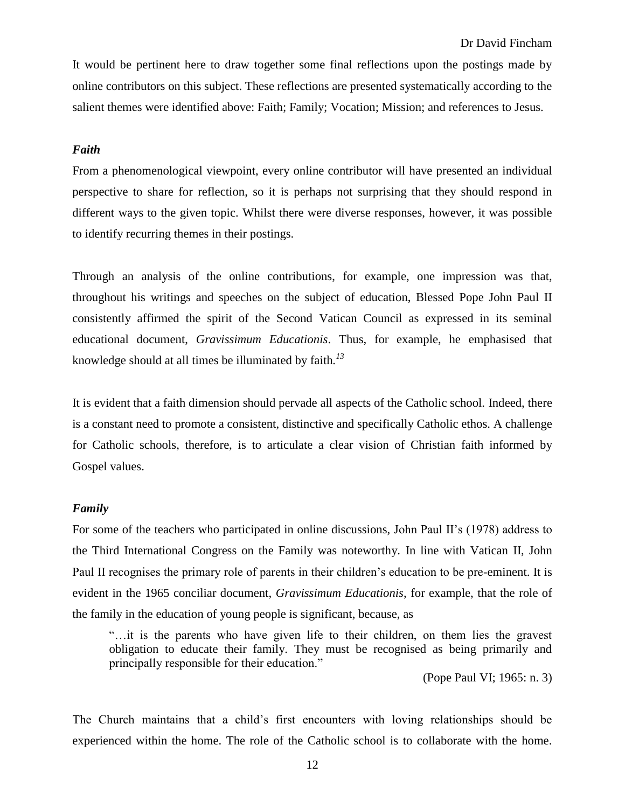It would be pertinent here to draw together some final reflections upon the postings made by online contributors on this subject. These reflections are presented systematically according to the salient themes were identified above: Faith; Family; Vocation; Mission; and references to Jesus.

#### *Faith*

From a phenomenological viewpoint, every online contributor will have presented an individual perspective to share for reflection, so it is perhaps not surprising that they should respond in different ways to the given topic. Whilst there were diverse responses, however, it was possible to identify recurring themes in their postings.

Through an analysis of the online contributions, for example, one impression was that, throughout his writings and speeches on the subject of education, Blessed Pope John Paul II consistently affirmed the spirit of the Second Vatican Council as expressed in its seminal educational document, *Gravissimum Educationis*. Thus, for example, he emphasised that knowledge should at all times be illuminated by faith*. 13*

It is evident that a faith dimension should pervade all aspects of the Catholic school. Indeed, there is a constant need to promote a consistent, distinctive and specifically Catholic ethos. A challenge for Catholic schools, therefore, is to articulate a clear vision of Christian faith informed by Gospel values.

#### *Family*

For some of the teachers who participated in online discussions, John Paul II's (1978) address to the Third International Congress on the Family was noteworthy. In line with Vatican II, John Paul II recognises the primary role of parents in their children's education to be pre-eminent. It is evident in the 1965 conciliar document, *Gravissimum Educationis*, for example, that the role of the family in the education of young people is significant, because, as

"…it is the parents who have given life to their children, on them lies the gravest obligation to educate their family. They must be recognised as being primarily and principally responsible for their education."

(Pope Paul VI; 1965: n. 3)

The Church maintains that a child's first encounters with loving relationships should be experienced within the home. The role of the Catholic school is to collaborate with the home.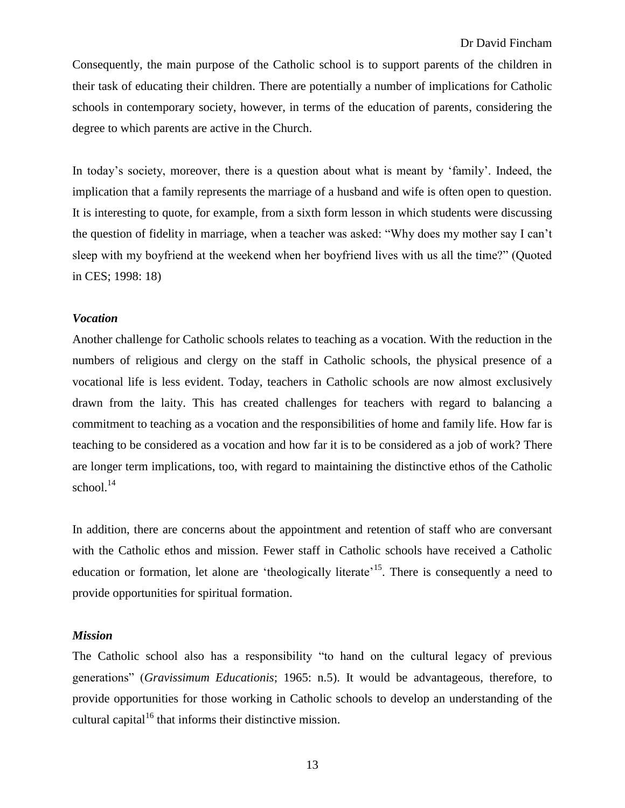Consequently, the main purpose of the Catholic school is to support parents of the children in their task of educating their children. There are potentially a number of implications for Catholic schools in contemporary society, however, in terms of the education of parents, considering the degree to which parents are active in the Church.

In today's society, moreover, there is a question about what is meant by 'family'. Indeed, the implication that a family represents the marriage of a husband and wife is often open to question. It is interesting to quote, for example, from a sixth form lesson in which students were discussing the question of fidelity in marriage, when a teacher was asked: "Why does my mother say I can't sleep with my boyfriend at the weekend when her boyfriend lives with us all the time?" (Quoted in CES; 1998: 18)

#### *Vocation*

Another challenge for Catholic schools relates to teaching as a vocation. With the reduction in the numbers of religious and clergy on the staff in Catholic schools, the physical presence of a vocational life is less evident. Today, teachers in Catholic schools are now almost exclusively drawn from the laity. This has created challenges for teachers with regard to balancing a commitment to teaching as a vocation and the responsibilities of home and family life. How far is teaching to be considered as a vocation and how far it is to be considered as a job of work? There are longer term implications, too, with regard to maintaining the distinctive ethos of the Catholic school. $14$ 

In addition, there are concerns about the appointment and retention of staff who are conversant with the Catholic ethos and mission. Fewer staff in Catholic schools have received a Catholic education or formation, let alone are 'theologically literate'<sup>15</sup>. There is consequently a need to provide opportunities for spiritual formation.

#### *Mission*

The Catholic school also has a responsibility "to hand on the cultural legacy of previous generations" (*Gravissimum Educationis*; 1965: n.5). It would be advantageous, therefore, to provide opportunities for those working in Catholic schools to develop an understanding of the cultural capital $16$  that informs their distinctive mission.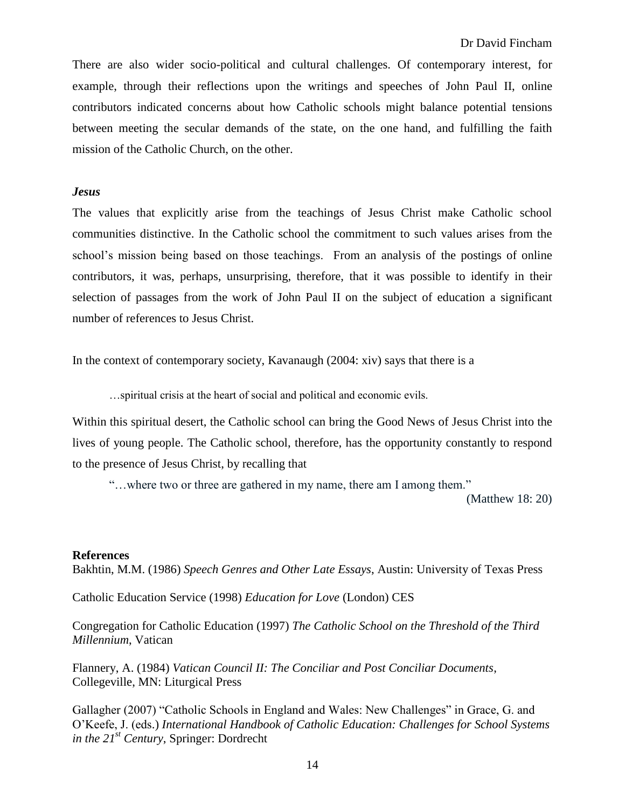There are also wider socio-political and cultural challenges. Of contemporary interest, for example, through their reflections upon the writings and speeches of John Paul II, online contributors indicated concerns about how Catholic schools might balance potential tensions between meeting the secular demands of the state, on the one hand, and fulfilling the faith mission of the Catholic Church, on the other.

#### *Jesus*

The values that explicitly arise from the teachings of Jesus Christ make Catholic school communities distinctive. In the Catholic school the commitment to such values arises from the school's mission being based on those teachings. From an analysis of the postings of online contributors, it was, perhaps, unsurprising, therefore, that it was possible to identify in their selection of passages from the work of John Paul II on the subject of education a significant number of references to Jesus Christ.

In the context of contemporary society, Kavanaugh (2004: xiv) says that there is a

…spiritual crisis at the heart of social and political and economic evils.

Within this spiritual desert, the Catholic school can bring the Good News of Jesus Christ into the lives of young people. The Catholic school, therefore, has the opportunity constantly to respond to the presence of Jesus Christ, by recalling that

"…where two or three are gathered in my name, there am I among them."

(Matthew 18: 20)

#### **References**

Bakhtin, M.M. (1986) *Speech Genres and Other Late Essays*, Austin: University of Texas Press

Catholic Education Service (1998) *Education for Love* (London) CES

Congregation for Catholic Education (1997) *The Catholic School on the Threshold of the Third Millennium*, Vatican

Flannery, A. (1984) *Vatican Council II: The Conciliar and Post Conciliar Documents*, Collegeville, MN: Liturgical Press

Gallagher (2007) "Catholic Schools in England and Wales: New Challenges" in Grace, G. and O'Keefe, J. (eds.) *International Handbook of Catholic Education: Challenges for School Systems in the 21st Century*, Springer: Dordrecht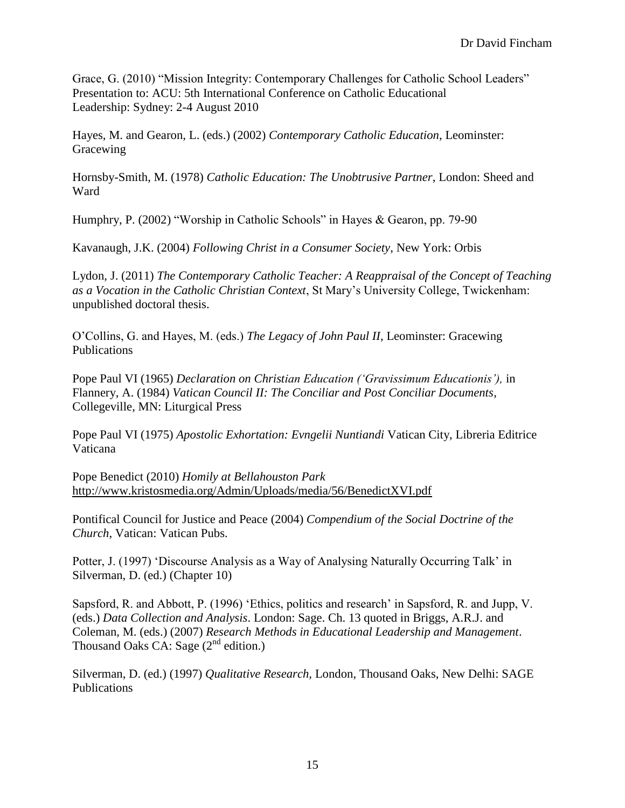Grace, G. (2010) "Mission Integrity: Contemporary Challenges for Catholic School Leaders" Presentation to: ACU: 5th International Conference on Catholic Educational Leadership: Sydney: 2-4 August 2010

Hayes, M. and Gearon, L. (eds.) (2002) *Contemporary Catholic Education*, Leominster: Gracewing

Hornsby-Smith, M. (1978) *Catholic Education: The Unobtrusive Partner*, London: Sheed and Ward

Humphry, P. (2002) "Worship in Catholic Schools" in Hayes & Gearon, pp. 79-90

Kavanaugh, J.K. (2004) *Following Christ in a Consumer Society*, New York: Orbis

Lydon, J. (2011) *The Contemporary Catholic Teacher: A Reappraisal of the Concept of Teaching as a Vocation in the Catholic Christian Context*, St Mary's University College, Twickenham: unpublished doctoral thesis.

O'Collins, G. and Hayes, M. (eds.) *The Legacy of John Paul II*, Leominster: Gracewing Publications

Pope Paul VI (1965) *Declaration on Christian Education ('Gravissimum Educationis'),* in Flannery, A. (1984) *Vatican Council II: The Conciliar and Post Conciliar Documents*, Collegeville, MN: Liturgical Press

Pope Paul VI (1975) *Apostolic Exhortation: Evngelii Nuntiandi* Vatican City, Libreria Editrice Vaticana

Pope Benedict (2010) *Homily at Bellahouston Park* <http://www.kristosmedia.org/Admin/Uploads/media/56/BenedictXVI.pdf>

Pontifical Council for Justice and Peace (2004) *Compendium of the Social Doctrine of the Church*, Vatican: Vatican Pubs.

Potter, J. (1997) 'Discourse Analysis as a Way of Analysing Naturally Occurring Talk' in Silverman, D. (ed.) (Chapter 10)

Sapsford, R. and Abbott, P. (1996) 'Ethics, politics and research' in Sapsford, R. and Jupp, V. (eds.) *Data Collection and Analysis*. London: Sage. Ch. 13 quoted in Briggs, A.R.J. and Coleman, M. (eds.) (2007) *Research Methods in Educational Leadership and Management*. Thousand Oaks CA: Sage  $(2^{nd}$  edition.)

Silverman, D. (ed.) (1997) *Qualitative Research,* London, Thousand Oaks, New Delhi: SAGE Publications